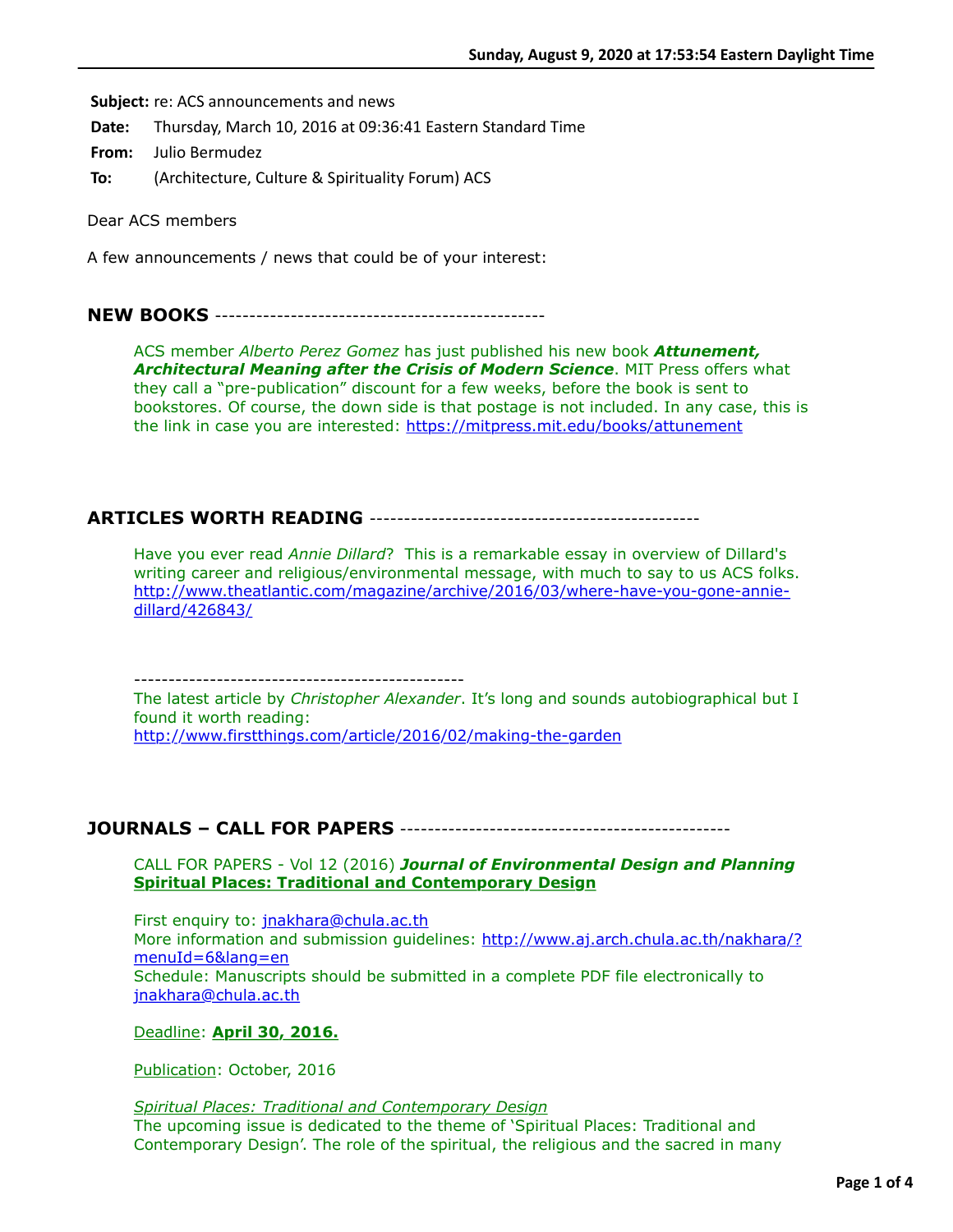**Subject:** re: ACS announcements and news

**Date:** Thursday, March 10, 2016 at 09:36:41 Eastern Standard Time

**From:** Julio Bermudez

**To:** (Architecture, Culture & Spirituality Forum) ACS

Dear ACS members

A few announcements / news that could be of your interest:

### **NEW BOOKS** ------------------------------------------------

ACS member *Alberto Perez Gomez* has just published his new book *Attunement, Architectural Meaning after the Crisis of Modern Science*. MIT Press offers what they call a "pre-publication" discount for a few weeks, before the book is sent to bookstores. Of course, the down side is that postage is not included. In any case, this is the link in case you are interested:<https://mitpress.mit.edu/books/attunement>

## **ARTICLES WORTH READING** ------------------------------------------------

Have you ever read *Annie Dillard*? This is a remarkable essay in overview of Dillard's writing career and religious/environmental message, with much to say to us ACS folks. [http://www.theatlantic.com/magazine/archive/2016/03/where-have-you-gone-annie](http://www.theatlantic.com/magazine/archive/2016/03/where-have-you-gone-annie-dillard/426843/)dillard/426843/

------------------------------------------------

The latest article by *Christopher Alexander*. It's long and sounds autobiographical but I found it worth reading: <http://www.firstthings.com/article/2016/02/making-the-garden>

## **JOURNALS – CALL FOR PAPERS** ------------------------------------------------

CALL FOR PAPERS - Vol 12 (2016) *Journal of Environmental Design and Planning* **Spiritual Places: Traditional and Contemporary Design**

First enquiry to: [jnakhara@chula.ac.th](applewebdata://5364F835-373D-436A-A43C-47FFC57E561F/jnakhara@chula.ac.th) [More information and submission guidelines: http://www.aj.arch.chula.ac.th/nakhara/?](http://www.aj.arch.chula.ac.th/nakhara/?menuId=6&lang=en) menuId=6&lang=en Schedule: Manuscripts should be submitted in a complete PDF file electronically to [jnakhara@chula.ac.th](applewebdata://5364F835-373D-436A-A43C-47FFC57E561F/jnakhara@chula.ac.th)

#### Deadline: **April 30, 2016.**

Publication: October, 2016

*Spiritual Places: Traditional and Contemporary Design* The upcoming issue is dedicated to the theme of 'Spiritual Places: Traditional and Contemporary Design'. The role of the spiritual, the religious and the sacred in many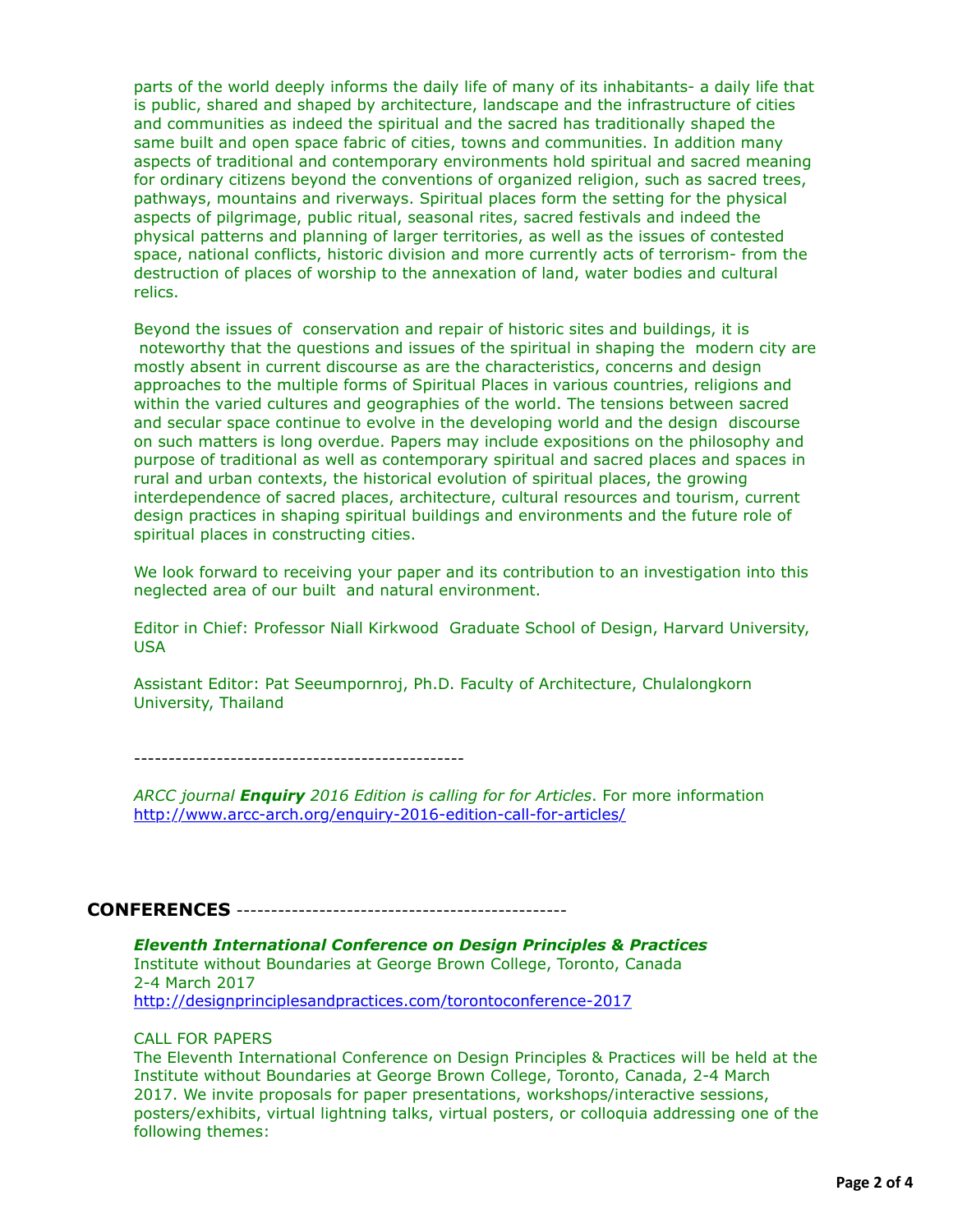parts of the world deeply informs the daily life of many of its inhabitants- a daily life that is public, shared and shaped by architecture, landscape and the infrastructure of cities and communities as indeed the spiritual and the sacred has traditionally shaped the same built and open space fabric of cities, towns and communities. In addition many aspects of traditional and contemporary environments hold spiritual and sacred meaning for ordinary citizens beyond the conventions of organized religion, such as sacred trees, pathways, mountains and riverways. Spiritual places form the setting for the physical aspects of pilgrimage, public ritual, seasonal rites, sacred festivals and indeed the physical patterns and planning of larger territories, as well as the issues of contested space, national conflicts, historic division and more currently acts of terrorism- from the destruction of places of worship to the annexation of land, water bodies and cultural relics.

Beyond the issues of conservation and repair of historic sites and buildings, it is noteworthy that the questions and issues of the spiritual in shaping the modern city are mostly absent in current discourse as are the characteristics, concerns and design approaches to the multiple forms of Spiritual Places in various countries, religions and within the varied cultures and geographies of the world. The tensions between sacred and secular space continue to evolve in the developing world and the design discourse on such matters is long overdue. Papers may include expositions on the philosophy and purpose of traditional as well as contemporary spiritual and sacred places and spaces in rural and urban contexts, the historical evolution of spiritual places, the growing interdependence of sacred places, architecture, cultural resources and tourism, current design practices in shaping spiritual buildings and environments and the future role of spiritual places in constructing cities.

We look forward to receiving your paper and its contribution to an investigation into this neglected area of our built and natural environment.

Editor in Chief: Professor Niall Kirkwood Graduate School of Design, Harvard University, USA

Assistant Editor: Pat Seeumpornroj, Ph.D. Faculty of Architecture, Chulalongkorn University, Thailand

------------------------------------------------

*ARCC journal Enquiry 2016 Edition is calling for for Articles*. For more information <http://www.arcc-arch.org/enquiry-2016-edition-call-for-articles/>

## **CONFERENCES** ------------------------------------------------

*Eleventh International Conference on Design Principles & Practices* Institute without Boundaries at George Brown College, Toronto, Canada 2-4 March 2017 <http://designprinciplesandpractices.com/torontoconference-2017>

#### CALL FOR PAPERS

The Eleventh International Conference on Design Principles & Practices will be held at the Institute without Boundaries at George Brown College, Toronto, Canada, 2-4 March 2017. We invite proposals for paper presentations, workshops/interactive sessions, posters/exhibits, virtual lightning talks, virtual posters, or colloquia addressing one of the following themes: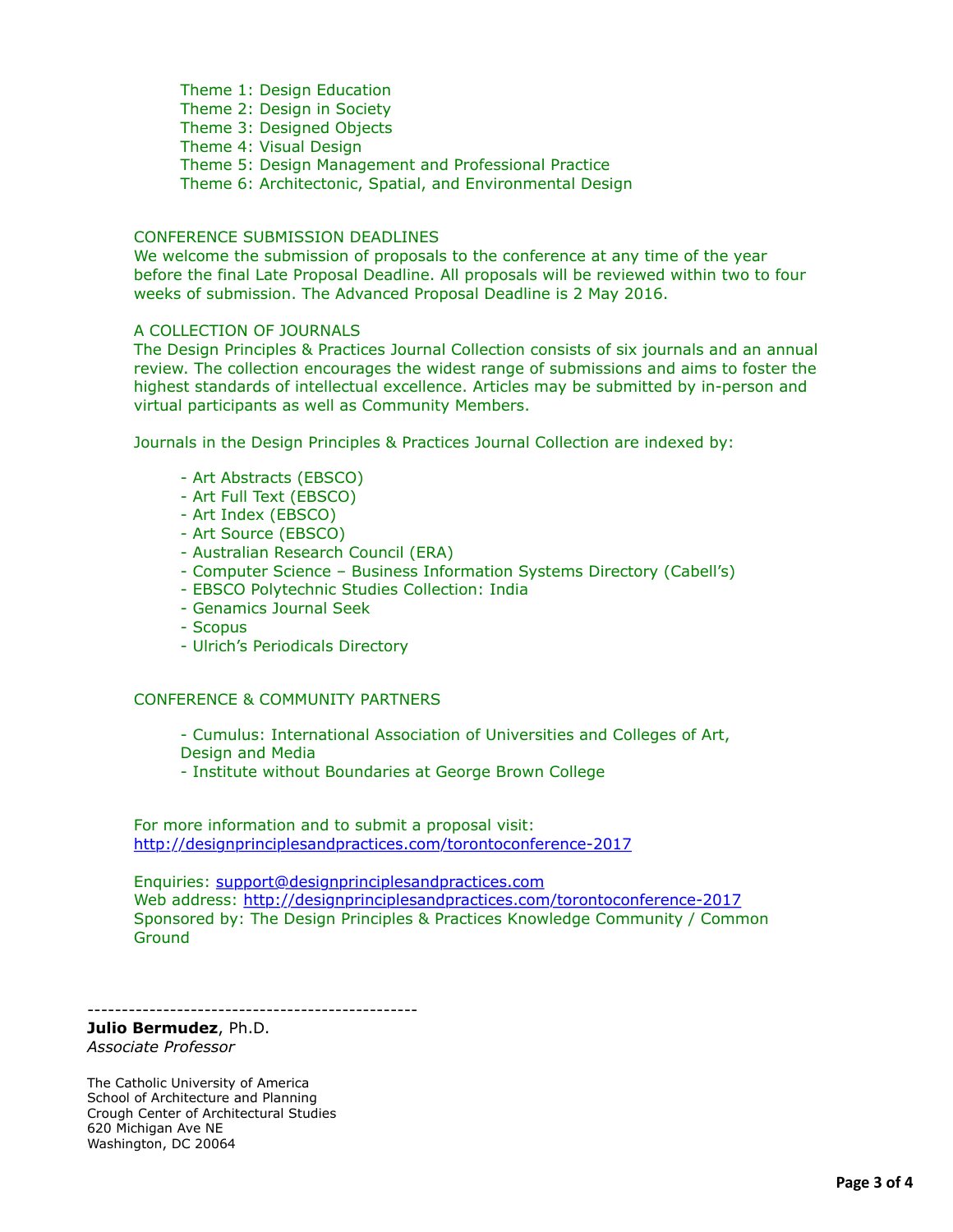Theme 1: Design Education Theme 2: Design in Society Theme 3: Designed Objects Theme 4: Visual Design Theme 5: Design Management and Professional Practice Theme 6: Architectonic, Spatial, and Environmental Design

#### CONFERENCE SUBMISSION DEADLINES

We welcome the submission of proposals to the conference at any time of the year before the final Late Proposal Deadline. All proposals will be reviewed within two to four weeks of submission. The Advanced Proposal Deadline is 2 May 2016.

#### A COLLECTION OF JOURNALS

The Design Principles & Practices Journal Collection consists of six journals and an annual review. The collection encourages the widest range of submissions and aims to foster the highest standards of intellectual excellence. Articles may be submitted by in-person and virtual participants as well as Community Members.

Journals in the Design Principles & Practices Journal Collection are indexed by:

- Art Abstracts (EBSCO)
- Art Full Text (EBSCO)
- Art Index (EBSCO)
- Art Source (EBSCO)
- Australian Research Council (ERA)
- Computer Science Business Information Systems Directory (Cabell's)
- EBSCO Polytechnic Studies Collection: India
- Genamics Journal Seek
- Scopus
- Ulrich's Periodicals Directory

#### CONFERENCE & COMMUNITY PARTNERS

- Cumulus: International Association of Universities and Colleges of Art, Design and Media

- Institute without Boundaries at George Brown College

For more information and to submit a proposal visit: <http://designprinciplesandpractices.com/torontoconference-2017>

Enquiries: [support@designprinciplesandpractices.com](applewebdata://5364F835-373D-436A-A43C-47FFC57E561F/support@designprinciplesandpractices.com) Web address:<http://designprinciplesandpractices.com/torontoconference-2017> Sponsored by: The Design Principles & Practices Knowledge Community / Common **Ground** 

------------------------------------------------

# **Julio Bermudez**, Ph.D.

*Associate Professor*

The Catholic University of America School of Architecture and Planning Crough Center of Architectural Studies 620 Michigan Ave NE Washington, DC 20064